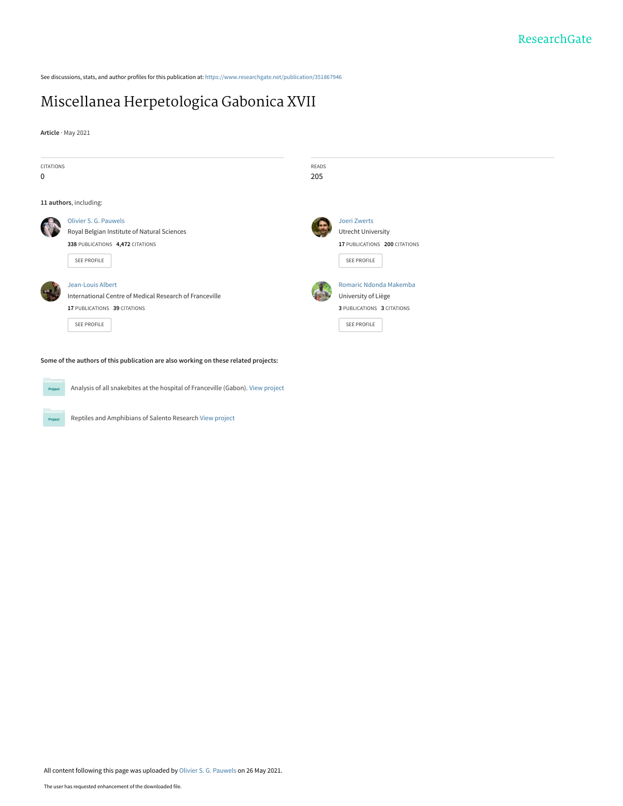See discussions, stats, and author profiles for this publication at: [https://www.researchgate.net/publication/351867946](https://www.researchgate.net/publication/351867946_Miscellanea_Herpetologica_Gabonica_XVII?enrichId=rgreq-31ce23857ee5a7d7b7bee5a9f5edb545-XXX&enrichSource=Y292ZXJQYWdlOzM1MTg2Nzk0NjtBUzoxMDI3NTk0MTQ1MjU5NTIwQDE2MjIwMDg5NDQ0NDU%3D&el=1_x_2&_esc=publicationCoverPdf)

# [Miscellanea Herpetologica Gabonica XVII](https://www.researchgate.net/publication/351867946_Miscellanea_Herpetologica_Gabonica_XVII?enrichId=rgreq-31ce23857ee5a7d7b7bee5a9f5edb545-XXX&enrichSource=Y292ZXJQYWdlOzM1MTg2Nzk0NjtBUzoxMDI3NTk0MTQ1MjU5NTIwQDE2MjIwMDg5NDQ0NDU%3D&el=1_x_3&_esc=publicationCoverPdf)

**Article** · May 2021





Project

Analysis of all snakebites at the hospital of Franceville (Gabon). [View project](https://www.researchgate.net/project/Analysis-of-all-snakebites-at-the-hospital-of-Franceville-Gabon?enrichId=rgreq-31ce23857ee5a7d7b7bee5a9f5edb545-XXX&enrichSource=Y292ZXJQYWdlOzM1MTg2Nzk0NjtBUzoxMDI3NTk0MTQ1MjU5NTIwQDE2MjIwMDg5NDQ0NDU%3D&el=1_x_9&_esc=publicationCoverPdf)

Reptiles and Amphibians of Salento Research [View project](https://www.researchgate.net/project/Reptiles-and-Amphibians-of-Salento-Research?enrichId=rgreq-31ce23857ee5a7d7b7bee5a9f5edb545-XXX&enrichSource=Y292ZXJQYWdlOzM1MTg2Nzk0NjtBUzoxMDI3NTk0MTQ1MjU5NTIwQDE2MjIwMDg5NDQ0NDU%3D&el=1_x_9&_esc=publicationCoverPdf)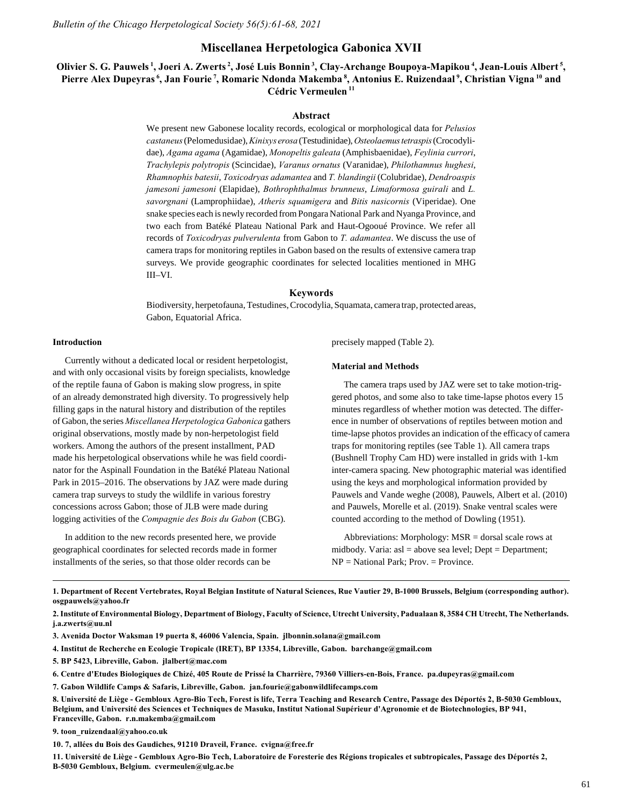# **Miscellanea Herpetologica Gabonica XVII**

# **Olivier S. G. Pauwels<sup>1</sup>, Joeri A. Zwerts<sup>2</sup>, José Luis Bonnin<sup>3</sup>, Clay-Archange Boupoya-Mapikou<sup>4</sup>, Jean-Louis Albert<sup>5</sup> , Pierre Alex Dupeyras<sup>6</sup>, Jan Fourie<sup>7</sup>, Romaric Ndonda Makemba<sup>8</sup>, Antonius E. Ruizendaal<sup>9</sup>, Christian Vigna<sup>10</sup> and Cédric Vermeulen<sup>11</sup>**

## **Abstract**

We present new Gabonese locality records, ecological or morphological data for *Pelusios castaneus* (Pelomedusidae), *Kinixys erosa* (Testudinidae), *Osteolaemus tetraspis* (Crocodylidae), *Agama agama* (Agamidae), *Monopeltis galeata* (Amphisbaenidae), *Feylinia currori*, *Trachylepis polytropis* (Scincidae), *Varanus ornatus* (Varanidae), *Philothamnus hughesi*, *Rhamnophis batesii*, *Toxicodryas adamantea* and *T. blandingii* (Colubridae), *Dendroaspis jamesoni jamesoni* (Elapidae), *Bothrophthalmus brunneus*, *Limaformosa guirali* and *L. savorgnani* (Lamprophiidae), *Atheris squamigera* and *Bitis nasicornis* (Viperidae). One snake species each is newly recorded from Pongara National Park and Nyanga Province, and two each from Batéké Plateau National Park and Haut-Ogooué Province. We refer all records of *Toxicodryas pulverulenta* from Gabon to *T. adamantea*. We discuss the use of camera traps for monitoring reptiles in Gabon based on the results of extensive camera trap surveys. We provide geographic coordinates for selected localities mentioned in MHG III–VI.

#### **Keywords**

Biodiversity, herpetofauna, Testudines, Crocodylia, Squamata, camera trap, protected areas, Gabon, Equatorial Africa.

## **Introduction**

Currently without a dedicated local or resident herpetologist, and with only occasional visits by foreign specialists, knowledge of the reptile fauna of Gabon is making slow progress, in spite of an already demonstrated high diversity. To progressively help filling gaps in the natural history and distribution of the reptiles of Gabon, the series *Miscellanea Herpetologica Gabonica* gathers original observations, mostly made by non-herpetologist field workers. Among the authors of the present installment, PAD made his herpetological observations while he was field coordinator for the Aspinall Foundation in the Batéké Plateau National Park in 2015–2016. The observations by JAZ were made during camera trap surveys to study the wildlife in various forestry concessions across Gabon; those of JLB were made during logging activities of the *Compagnie des Bois du Gabon* (CBG).

In addition to the new records presented here, we provide geographical coordinates for selected records made in former installments of the series, so that those older records can be

precisely mapped (Table 2).

#### **Material and Methods**

The camera traps used by JAZ were set to take motion-triggered photos, and some also to take time-lapse photos every 15 minutes regardless of whether motion was detected. The difference in number of observations of reptiles between motion and time-lapse photos provides an indication of the efficacy of camera traps for monitoring reptiles (see Table 1). All camera traps (Bushnell Trophy Cam HD) were installed in grids with 1-km inter-camera spacing. New photographic material was identified using the keys and morphological information provided by Pauwels and Vande weghe (2008), Pauwels, Albert et al. (2010) and Pauwels, Morelle et al. (2019). Snake ventral scales were counted according to the method of Dowling (1951).

Abbreviations: Morphology: MSR = dorsal scale rows at midbody. Varia: asl = above sea level; Dept = Department; NP = National Park; Prov. = Province.

**1. Department of Recent Vertebrates, Royal Belgian Institute of Natural Sciences, Rue Vautier 29, B-1000 Brussels, Belgium (corresponding author). osgpauwels@yahoo.fr**

**2. Institute of Environmental Biology, Department of Biology, Faculty of Science, Utrecht University, Padualaan 8, 3584 CH Utrecht, The Netherlands. j.a.zwerts@uu.nl**

**3. Avenida Doctor Waksman 19 puerta 8, 46006 Valencia, Spain. jlbonnin.solana@gmail.com**

**4. Institut de Recherche en Ecologie Tropicale (IRET), BP 13354, Libreville, Gabon. barchange@gmail.com**

**5. BP 5423, Libreville, Gabon. jlalbert@mac.com**

**6. Centre d'Etudes Biologiques de Chizé, 405 Route de Prissé la Charrière, 79360 Villiers-en-Bois, France. pa.dupeyras@gmail.com**

**7. Gabon Wildlife Camps & Safaris, Libreville, Gabon. jan.fourie@gabonwildlifecamps.com**

**8. Université de Liège - Gembloux Agro-Bio Tech, Forest is life, Terra Teaching and Research Centre, Passage des Déportés 2, B-5030 Gembloux, Belgium, and Université des Sciences et Techniques de Masuku, Institut National Supérieur d'Agronomie et de Biotechnologies, BP 941, Franceville, Gabon. r.n.makemba@gmail.com**

**9. toon\_ruizendaal@yahoo.co.uk**

**10. 7, allées du Bois des Gaudiches, 91210 Draveil, France. cvigna@free.fr**

**11. Université de Liège - Gembloux Agro-Bio Tech, Laboratoire de Foresterie des Régions tropicales et subtropicales, Passage des Déportés 2, B-5030 Gembloux, Belgium. cvermeulen@ulg.ac.be**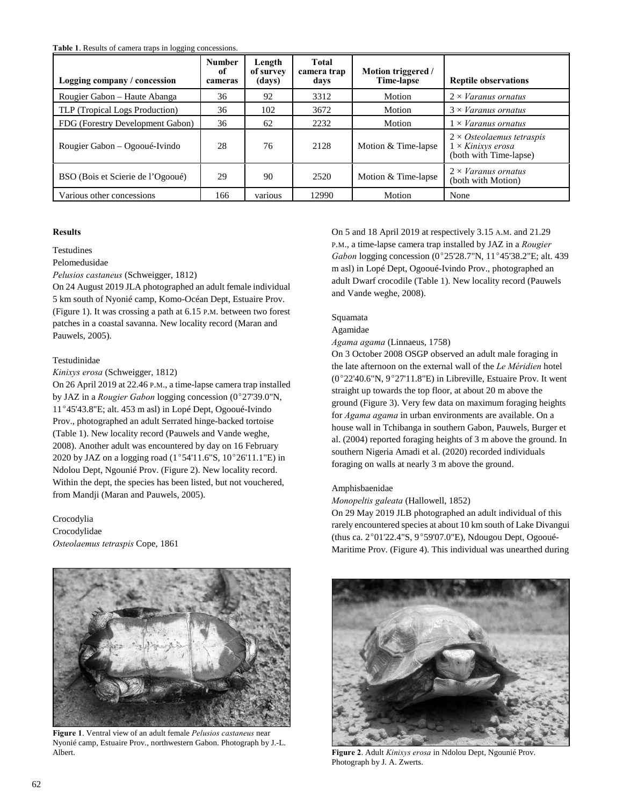**Table 1**. Results of camera traps in logging concessions.

| Logging company / concession      | <b>Number</b><br>of<br>cameras | Length<br>of survey<br>(days) | Total<br>camera trap<br>days | Motion triggered /<br><b>Time-lapse</b> | <b>Reptile observations</b>                                                             |
|-----------------------------------|--------------------------------|-------------------------------|------------------------------|-----------------------------------------|-----------------------------------------------------------------------------------------|
| Rougier Gabon - Haute Abanga      | 36                             | 92                            | 3312                         | Motion                                  | $2 \times \textit{Varanus}$ ornatus                                                     |
| TLP (Tropical Logs Production)    | 36                             | 102                           | 3672                         | Motion                                  | $3 \times$ Varanus ornatus                                                              |
| FDG (Forestry Development Gabon)  | 36                             | 62                            | 2232                         | Motion                                  | $1 \times$ Varanus ornatus                                                              |
| Rougier Gabon – Ogooué-Ivindo     | 28                             | 76                            | 2128                         | Motion & Time-lapse                     | $2 \times O$ steolaemus tetraspis<br>$1 \times$ Kinixys erosa<br>(both with Time-lapse) |
| BSO (Bois et Scierie de l'Ogooué) | 29                             | 90                            | 2520                         | Motion & Time-lapse                     | $2 \times \textit{Varanus}$ ornatus<br>(both with Motion)                               |
| Various other concessions         | 166                            | various                       | 12990                        | Motion                                  | None                                                                                    |

## **Results**

Testudines

Pelomedusidae

*Pelusios castaneus* (Schweigger, 1812)

On 24 August 2019 JLA photographed an adult female individual 5 km south of Nyonié camp, Komo-Océan Dept, Estuaire Prov. (Figure 1). It was crossing a path at 6.15 P.M. between two forest patches in a coastal savanna. New locality record (Maran and Pauwels, 2005).

## Testudinidae

*Kinixys erosa* (Schweigger, 1812)

On 26 April 2019 at 22.46 P.M., a time-lapse camera trap installed by JAZ in a *Rougier Gabon* logging concession (0°27'39.0"N, 11°45'43.8"E; alt. 453 m asl) in Lopé Dept, Ogooué-Ivindo Prov., photographed an adult Serrated hinge-backed tortoise (Table 1). New locality record (Pauwels and Vande weghe, 2008). Another adult was encountered by day on 16 February 2020 by JAZ on a logging road (1°54'11.6"S,  $10^{\circ}26'11.1"E$ ) in Ndolou Dept, Ngounié Prov. (Figure 2). New locality record. Within the dept, the species has been listed, but not vouchered, from Mandji (Maran and Pauwels, 2005).

Crocodylia Crocodylidae *Osteolaemus tetraspis* Cope, 1861



**Figure 1**. Ventral view of an adult female *Pelusios castaneus* near Nyonié camp, Estuaire Prov., northwestern Gabon. Photograph by J.-L. Albert. **Figure 2**. Adult *Kinixys erosa* in Ndolou Dept, Ngounié Prov.

On 5 and 18 April 2019 at respectively 3.15 A.M. and 21.29 P.M., a time-lapse camera trap installed by JAZ in a *Rougier Gabon* logging concession (0°25'28.7"N, 11°45'38.2"E; alt. 439 m asl) in Lopé Dept, Ogooué-Ivindo Prov., photographed an adult Dwarf crocodile (Table 1). New locality record (Pauwels and Vande weghe, 2008).

## Squamata

Agamidae

*Agama agama* (Linnaeus, 1758)

On 3 October 2008 OSGP observed an adult male foraging in the late afternoon on the external wall of the *Le Méridien* hotel  $(0^{\circ}22'40.6"N, 9^{\circ}27'11.8"E)$  in Libreville, Estuaire Prov. It went straight up towards the top floor, at about 20 m above the ground (Figure 3). Very few data on maximum foraging heights for *Agama agama* in urban environments are available. On a house wall in Tchibanga in southern Gabon, Pauwels, Burger et al. (2004) reported foraging heights of 3 m above the ground. In southern Nigeria Amadi et al. (2020) recorded individuals foraging on walls at nearly 3 m above the ground.

## Amphisbaenidae

*Monopeltis galeata* (Hallowell, 1852)

On 29 May 2019 JLB photographed an adult individual of this rarely encountered species at about 10 km south of Lake Divangui (thus ca. 2°01'22.4"S, 9°59'07.0"E), Ndougou Dept, Ogooué-Maritime Prov. (Figure 4). This individual was unearthed during



Photograph by J. A. Zwerts.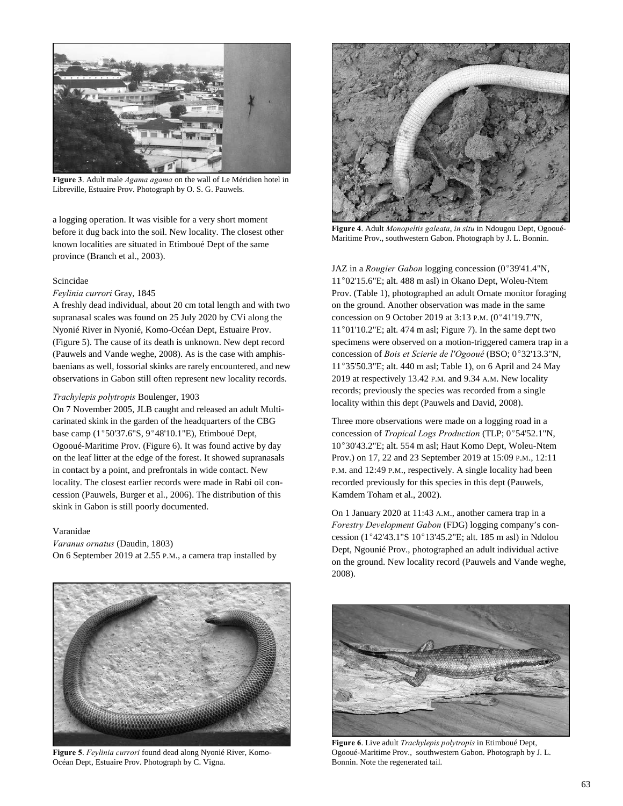

**Figure 3**. Adult male *Agama agama* on the wall of Le Méridien hotel in Libreville, Estuaire Prov. Photograph by O. S. G. Pauwels.

a logging operation. It was visible for a very short moment before it dug back into the soil. New locality. The closest other known localities are situated in Etimboué Dept of the same province (Branch et al., 2003).

#### Scincidae

## *Feylinia currori* Gray, 1845

A freshly dead individual, about 20 cm total length and with two supranasal scales was found on 25 July 2020 by CVi along the Nyonié River in Nyonié, Komo-Océan Dept, Estuaire Prov. (Figure 5). The cause of its death is unknown. New dept record (Pauwels and Vande weghe, 2008). As is the case with amphisbaenians as well, fossorial skinks are rarely encountered, and new observations in Gabon still often represent new locality records.

#### *Trachylepis polytropis* Boulenger, 1903

On 7 November 2005, JLB caught and released an adult Multicarinated skink in the garden of the headquarters of the CBG base camp (1°50'37.6"S, 9°48'10.1"E), Etimboué Dept, Ogooué-Maritime Prov. (Figure 6). It was found active by day on the leaf litter at the edge of the forest. It showed supranasals in contact by a point, and prefrontals in wide contact. New locality. The closest earlier records were made in Rabi oil concession (Pauwels, Burger et al., 2006). The distribution of this skink in Gabon is still poorly documented.

### Varanidae

*Varanus ornatus* (Daudin, 1803) On 6 September 2019 at 2.55 P.M., a camera trap installed by



**Figure 5**. *Feylinia currori* found dead along Nyonié River, Komo-Océan Dept, Estuaire Prov. Photograph by C. Vigna.



**Figure 4**. Adult *Monopeltis galeata*, *in situ* in Ndougou Dept, Ogooué-Maritime Prov., southwestern Gabon. Photograph by J. L. Bonnin.

JAZ in a *Rougier Gabon* logging concession (0°39'41.4"N, 11°02'15.6"E; alt. 488 m asl) in Okano Dept, Woleu-Ntem Prov. (Table 1), photographed an adult Ornate monitor foraging on the ground. Another observation was made in the same concession on 9 October 2019 at  $3:13$  P.M.  $(0°41'19.7"N,$  $11^{\circ}01'10.2''E$ ; alt. 474 m asl; Figure 7). In the same dept two specimens were observed on a motion-triggered camera trap in a concession of *Bois et Scierie de l'Ogooué* (BSO; 0°32'13.3"N, 11°35'50.3"E; alt. 440 m asl; Table 1), on 6 April and 24 May 2019 at respectively 13.42 P.M. and 9.34 A.M. New locality records; previously the species was recorded from a single locality within this dept (Pauwels and David, 2008).

Three more observations were made on a logging road in a concession of *Tropical Logs Production* (TLP;  $0^{\circ}54'52.1''N$ , 10°30'43.2"E; alt. 554 m asl; Haut Komo Dept, Woleu-Ntem Prov.) on 17, 22 and 23 September 2019 at 15:09 P.M., 12:11 P.M. and 12:49 P.M., respectively. A single locality had been recorded previously for this species in this dept (Pauwels, Kamdem Toham et al., 2002).

On 1 January 2020 at 11:43 A.M., another camera trap in a *Forestry Development Gabon* (FDG) logging company's concession ( $1^{\circ}42'43.1''S$   $10^{\circ}13'45.2''E$ ; alt. 185 m asl) in Ndolou Dept, Ngounié Prov., photographed an adult individual active on the ground. New locality record (Pauwels and Vande weghe, 2008).



**Figure 6**. Live adult *Trachylepis polytropis* in Etimboué Dept, Ogooué-Maritime Prov., southwestern Gabon. Photograph by J. L. Bonnin. Note the regenerated tail.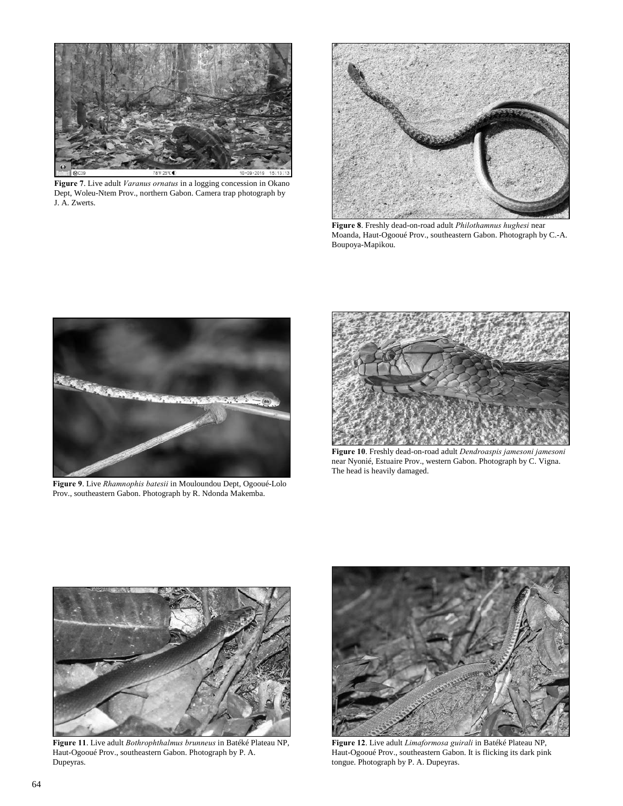

**Figure 7**. Live adult *Varanus ornatus* in a logging concession in Okano Dept, Woleu-Ntem Prov., northern Gabon. Camera trap photograph by J. A. Zwerts.



**Figure 8**. Freshly dead-on-road adult *Philothamnus hughesi* near Moanda, Haut-Ogooué Prov., southeastern Gabon. Photograph by C.-A. Boupoya-Mapikou.



**Figure 9**. Live *Rhamnophis batesii* in Mouloundou Dept, Ogooué-Lolo Prov., southeastern Gabon. Photograph by R. Ndonda Makemba.



**Figure 10**. Freshly dead-on-road adult *Dendroaspis jamesoni jamesoni* near Nyonié, Estuaire Prov., western Gabon. Photograph by C. Vigna. The head is heavily damaged.



**Figure 11**. Live adult *Bothrophthalmus brunneus* in Batéké Plateau NP, Haut-Ogooué Prov., southeastern Gabon. Photograph by P. A. Dupeyras.



**Figure 12**. Live adult *Limaformosa guirali* in Batéké Plateau NP, Haut-Ogooué Prov., southeastern Gabon. It is flicking its dark pink tongue. Photograph by P. A. Dupeyras.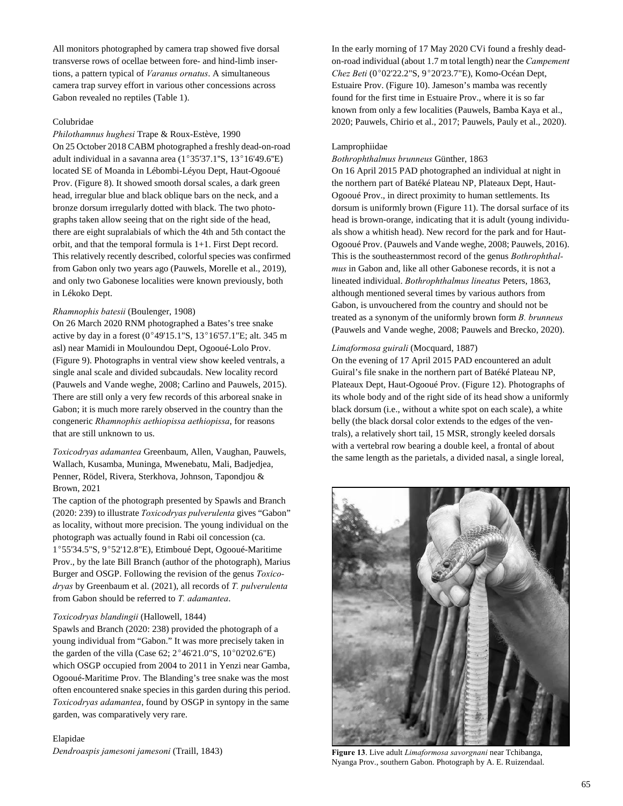All monitors photographed by camera trap showed five dorsal transverse rows of ocellae between fore- and hind-limb insertions, a pattern typical of *Varanus ornatus*. A simultaneous camera trap survey effort in various other concessions across Gabon revealed no reptiles (Table 1).

## Colubridae

*Philothamnus hughesi* Trape & Roux-Estève, 1990 On 25 October 2018 CABM photographed a freshly dead-on-road

adult individual in a savanna area  $(1^{\circ}35'37.1''S, 13^{\circ}16'49.6''E)$ located SE of Moanda in Lébombi-Léyou Dept, Haut-Ogooué Prov. (Figure 8). It showed smooth dorsal scales, a dark green head, irregular blue and black oblique bars on the neck, and a bronze dorsum irregularly dotted with black. The two photographs taken allow seeing that on the right side of the head, there are eight supralabials of which the 4th and 5th contact the orbit, and that the temporal formula is 1+1. First Dept record. This relatively recently described, colorful species was confirmed from Gabon only two years ago (Pauwels, Morelle et al., 2019), and only two Gabonese localities were known previously, both in Lékoko Dept.

### *Rhamnophis batesii* (Boulenger, 1908)

On 26 March 2020 RNM photographed a Bates's tree snake active by day in a forest ( $0^{\circ}$ 49'15.1"S, 13°16'57.1"E; alt. 345 m asl) near Mamidi in Mouloundou Dept, Ogooué-Lolo Prov. (Figure 9). Photographs in ventral view show keeled ventrals, a single anal scale and divided subcaudals. New locality record (Pauwels and Vande weghe, 2008; Carlino and Pauwels, 2015). There are still only a very few records of this arboreal snake in Gabon; it is much more rarely observed in the country than the congeneric *Rhamnophis aethiopissa aethiopissa*, for reasons that are still unknown to us.

*Toxicodryas adamantea* Greenbaum, Allen, Vaughan, Pauwels, Wallach, Kusamba, Muninga, Mwenebatu, Mali, Badjedjea, Penner, Rödel, Rivera, Sterkhova, Johnson, Tapondjou & Brown, 2021

The caption of the photograph presented by Spawls and Branch (2020: 239) to illustrate *Toxicodryas pulverulenta* gives "Gabon" as locality, without more precision. The young individual on the photograph was actually found in Rabi oil concession (ca. 1°55'34.5"S, 9°52'12.8"E), Etimboué Dept, Ogooué-Maritime Prov., by the late Bill Branch (author of the photograph), Marius Burger and OSGP. Following the revision of the genus *Toxicodryas* by Greenbaum et al. (2021), all records of *T. pulverulenta* from Gabon should be referred to *T. adamantea*.

## *Toxicodryas blandingii* (Hallowell, 1844)

Spawls and Branch (2020: 238) provided the photograph of a young individual from "Gabon." It was more precisely taken in the garden of the villa (Case 62;  $2^{\circ}46'21.0"S$ ,  $10^{\circ}02'02.6"E$ ) which OSGP occupied from 2004 to 2011 in Yenzi near Gamba, Ogooué-Maritime Prov. The Blanding's tree snake was the most often encountered snake species in this garden during this period. *Toxicodryas adamantea*, found by OSGP in syntopy in the same garden, was comparatively very rare.

Elapidae *Dendroaspis jamesoni jamesoni* (Traill, 1843) In the early morning of 17 May 2020 CVi found a freshly deadon-road individual (about 1.7 m total length) near the *Campement Chez Beti* (0°02'22.2"S, 9°20'23.7"E), Komo-Océan Dept, Estuaire Prov. (Figure 10). Jameson's mamba was recently found for the first time in Estuaire Prov., where it is so far known from only a few localities (Pauwels, Bamba Kaya et al., 2020; Pauwels, Chirio et al., 2017; Pauwels, Pauly et al., 2020).

#### Lamprophiidae

#### *Bothrophthalmus brunneus* Günther, 1863

On 16 April 2015 PAD photographed an individual at night in the northern part of Batéké Plateau NP, Plateaux Dept, Haut-Ogooué Prov., in direct proximity to human settlements. Its dorsum is uniformly brown (Figure 11). The dorsal surface of its head is brown-orange, indicating that it is adult (young individuals show a whitish head). New record for the park and for Haut-Ogooué Prov. (Pauwels and Vande weghe, 2008; Pauwels, 2016). This is the southeasternmost record of the genus *Bothrophthalmus* in Gabon and, like all other Gabonese records, it is not a lineated individual. *Bothrophthalmus lineatus* Peters, 1863, although mentioned several times by various authors from Gabon, is unvouchered from the country and should not be treated as a synonym of the uniformly brown form *B. brunneus* (Pauwels and Vande weghe, 2008; Pauwels and Brecko, 2020).

## *Limaformosa guirali* (Mocquard, 1887)

On the evening of 17 April 2015 PAD encountered an adult Guiral's file snake in the northern part of Batéké Plateau NP, Plateaux Dept, Haut-Ogooué Prov. (Figure 12). Photographs of its whole body and of the right side of its head show a uniformly black dorsum (i.e., without a white spot on each scale), a white belly (the black dorsal color extends to the edges of the ventrals), a relatively short tail, 15 MSR, strongly keeled dorsals with a vertebral row bearing a double keel, a frontal of about the same length as the parietals, a divided nasal, a single loreal,



**Figure 13**. Live adult *Limaformosa savorgnani* near Tchibanga, Nyanga Prov., southern Gabon. Photograph by A. E. Ruizendaal.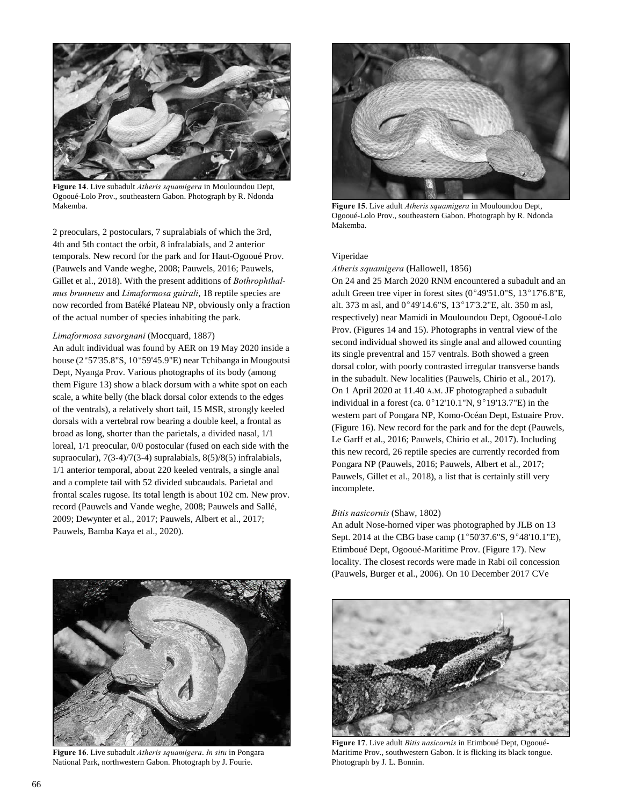

**Figure 14**. Live subadult *Atheris squamigera* in Mouloundou Dept, Ogooué-Lolo Prov., southeastern Gabon. Photograph by R. Ndonda Makemba. **Figure 15**. Live adult *Atheris squamigera* in Mouloundou Dept,

2 preoculars, 2 postoculars, 7 supralabials of which the 3rd, 4th and 5th contact the orbit, 8 infralabials, and 2 anterior temporals. New record for the park and for Haut-Ogooué Prov. (Pauwels and Vande weghe, 2008; Pauwels, 2016; Pauwels, Gillet et al., 2018). With the present additions of *Bothrophthalmus brunneus* and *Limaformosa guirali*, 18 reptile species are now recorded from Batéké Plateau NP, obviously only a fraction of the actual number of species inhabiting the park.

## *Limaformosa savorgnani* (Mocquard, 1887)

An adult individual was found by AER on 19 May 2020 inside a house ( $2^{\circ}57'35.8''S$ ,  $10^{\circ}59'45.9''E$ ) near Tchibanga in Mougoutsi Dept, Nyanga Prov. Various photographs of its body (among them Figure 13) show a black dorsum with a white spot on each scale, a white belly (the black dorsal color extends to the edges of the ventrals), a relatively short tail, 15 MSR, strongly keeled dorsals with a vertebral row bearing a double keel, a frontal as broad as long, shorter than the parietals, a divided nasal, 1/1 loreal, 1/1 preocular, 0/0 postocular (fused on each side with the supraocular), 7(3-4)/7(3-4) supralabials, 8(5)/8(5) infralabials, 1/1 anterior temporal, about 220 keeled ventrals, a single anal and a complete tail with 52 divided subcaudals. Parietal and frontal scales rugose. Its total length is about 102 cm. New prov. record (Pauwels and Vande weghe, 2008; Pauwels and Sallé, 2009; Dewynter et al., 2017; Pauwels, Albert et al., 2017; Pauwels, Bamba Kaya et al., 2020).



**Figure 16**. Live subadult *Atheris squamigera*. *In situ* in Pongara National Park, northwestern Gabon. Photograph by J. Fourie.



Ogooué-Lolo Prov., southeastern Gabon. Photograph by R. Ndonda Makemba.

## Viperidae

*Atheris squamigera* (Hallowell, 1856)

On 24 and 25 March 2020 RNM encountered a subadult and an adult Green tree viper in forest sites  $(0°49'51.0"S, 13°17'6.8"E,$ alt. 373 m asl, and  $0^{\circ}49'14.6''S$ ,  $13^{\circ}17'3.2''E$ , alt. 350 m asl, respectively) near Mamidi in Mouloundou Dept, Ogooué-Lolo Prov. (Figures 14 and 15). Photographs in ventral view of the second individual showed its single anal and allowed counting its single preventral and 157 ventrals. Both showed a green dorsal color, with poorly contrasted irregular transverse bands in the subadult. New localities (Pauwels, Chirio et al., 2017). On 1 April 2020 at 11.40 A.M. JF photographed a subadult individual in a forest (ca.  $0^{\circ}12'10.1''N$ ,  $9^{\circ}19'13.7''E$ ) in the western part of Pongara NP, Komo-Océan Dept, Estuaire Prov. (Figure 16). New record for the park and for the dept (Pauwels, Le Garff et al., 2016; Pauwels, Chirio et al., 2017). Including this new record, 26 reptile species are currently recorded from Pongara NP (Pauwels, 2016; Pauwels, Albert et al., 2017; Pauwels, Gillet et al., 2018), a list that is certainly still very incomplete.

#### *Bitis nasicornis* (Shaw, 1802)

An adult Nose-horned viper was photographed by JLB on 13 Sept. 2014 at the CBG base camp  $(1^{\circ}50'37.6"S, 9^{\circ}48'10.1"E)$ , Etimboué Dept, Ogooué-Maritime Prov. (Figure 17). New locality. The closest records were made in Rabi oil concession (Pauwels, Burger et al., 2006). On 10 December 2017 CVe



**Figure 17**. Live adult *Bitis nasicornis* in Etimboué Dept, Ogooué-Maritime Prov., southwestern Gabon. It is flicking its black tongue. Photograph by J. L. Bonnin.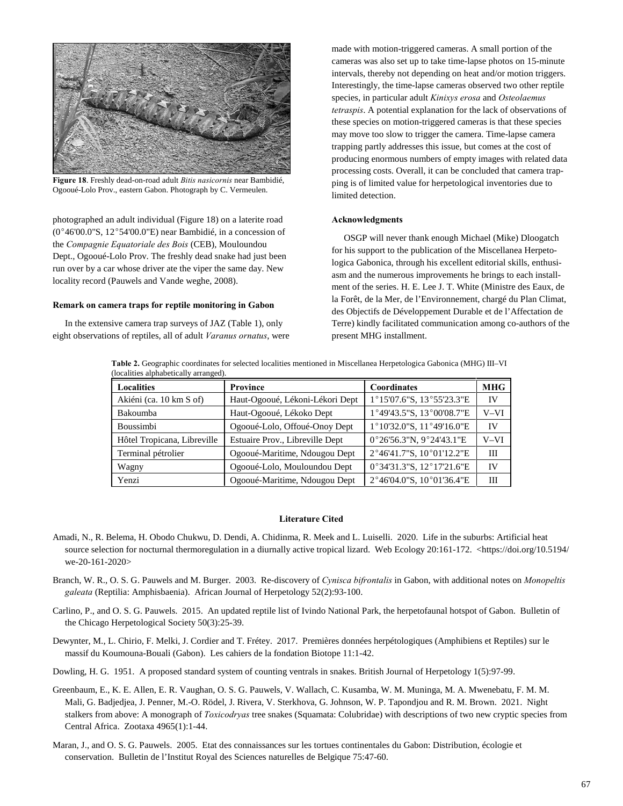

**Figure 18**. Freshly dead-on-road adult *Bitis nasicornis* near Bambidié, Ogooué-Lolo Prov., eastern Gabon. Photograph by C. Vermeulen.

photographed an adult individual (Figure 18) on a laterite road ( $0^{\circ}46'00.0"$ S,  $12^{\circ}54'00.0"$ E) near Bambidié, in a concession of the *Compagnie Equatoriale des Bois* (CEB), Mouloundou Dept., Ogooué-Lolo Prov. The freshly dead snake had just been run over by a car whose driver ate the viper the same day. New locality record (Pauwels and Vande weghe, 2008).

#### **Remark on camera traps for reptile monitoring in Gabon**

In the extensive camera trap surveys of JAZ (Table 1), only eight observations of reptiles, all of adult *Varanus ornatus*, were

made with motion-triggered cameras. A small portion of the cameras was also set up to take time-lapse photos on 15-minute intervals, thereby not depending on heat and/or motion triggers. Interestingly, the time-lapse cameras observed two other reptile species, in particular adult *Kinixys erosa* and *Osteolaemus tetraspis*. A potential explanation for the lack of observations of these species on motion-triggered cameras is that these species may move too slow to trigger the camera. Time-lapse camera trapping partly addresses this issue, but comes at the cost of producing enormous numbers of empty images with related data processing costs. Overall, it can be concluded that camera trapping is of limited value for herpetological inventories due to limited detection.

#### **Acknowledgments**

OSGP will never thank enough Michael (Mike) Dloogatch for his support to the publication of the Miscellanea Herpetologica Gabonica, through his excellent editorial skills, enthusiasm and the numerous improvements he brings to each installment of the series. H. E. Lee J. T. White (Ministre des Eaux, de la Forêt, de la Mer, de l'Environnement, chargé du Plan Climat, des Objectifs de Développement Durable et de l'Affectation de Terre) kindly facilitated communication among co-authors of the present MHG installment.

**Table 2.** Geographic coordinates for selected localities mentioned in Miscellanea Herpetologica Gabonica (MHG) III–VI (localities alphabetically arranged).

| <b>Localities</b>           | <b>Province</b>                 | <b>Coordinates</b>        | <b>MHG</b> |
|-----------------------------|---------------------------------|---------------------------|------------|
| Akiéni (ca. 10 km S of)     | Haut-Ogooué, Lékoni-Lékori Dept | 1°15'07.6"S, 13°55'23.3"E | IV         |
| <b>Bakoumba</b>             | Haut-Ogooué, Lékoko Dept        | 1°49'43.5"S, 13°00'08.7"E | V-VI       |
| <b>Boussimbi</b>            | Ogooué-Lolo, Offoué-Onoy Dept   | 1°10'32.0"S, 11°49'16.0"E | IV         |
| Hôtel Tropicana, Libreville | Estuaire Prov., Libreville Dept | 0°26'56.3"N, 9°24'43.1"E  | V-VI       |
| Terminal pétrolier          | Ogooué-Maritime, Ndougou Dept   | 2°46'41.7"S, 10°01'12.2"E | Ш          |
| Wagny                       | Ogooué-Lolo, Mouloundou Dept    | 0°34'31.3"S, 12°17'21.6"E | IV         |
| Yenzi                       | Ogooué-Maritime, Ndougou Dept   | 2°46'04.0"S, 10°01'36.4"E | Ш          |

## **Literature Cited**

- Amadi, N., R. Belema, H. Obodo Chukwu, D. Dendi, A. Chidinma, R. Meek and L. Luiselli. 2020. Life in the suburbs: Artificial heat source selection for nocturnal thermoregulation in a diurnally active tropical lizard. Web Ecology 20:161-172. <https://doi.org/10.5194/ we-20-161-2020>
- Branch, W. R., O. S. G. Pauwels and M. Burger. 2003. Re-discovery of *Cynisca bifrontalis* in Gabon, with additional notes on *Monopeltis galeata* (Reptilia: Amphisbaenia). African Journal of Herpetology 52(2):93-100.
- Carlino, P., and O. S. G. Pauwels. 2015. An updated reptile list of Ivindo National Park, the herpetofaunal hotspot of Gabon. Bulletin of the Chicago Herpetological Society 50(3):25-39.
- Dewynter, M., L. Chirio, F. Melki, J. Cordier and T. Frétey. 2017. Premières données herpétologiques (Amphibiens et Reptiles) sur le massif du Koumouna-Bouali (Gabon). Les cahiers de la fondation Biotope 11:1-42.
- Dowling, H. G. 1951. A proposed standard system of counting ventrals in snakes. British Journal of Herpetology 1(5):97-99.
- Greenbaum, E., K. E. Allen, E. R. Vaughan, O. S. G. Pauwels, V. Wallach, C. Kusamba, W. M. Muninga, M. A. Mwenebatu, F. M. M. Mali, G. Badjedjea, J. Penner, M.-O. Rödel, J. Rivera, V. Sterkhova, G. Johnson, W. P. Tapondjou and R. M. Brown. 2021. Night stalkers from above: A monograph of *Toxicodryas* tree snakes (Squamata: Colubridae) with descriptions of two new cryptic species from Central Africa. Zootaxa 4965(1):1-44.
- Maran, J., and O. S. G. Pauwels. 2005. Etat des connaissances sur les tortues continentales du Gabon: Distribution, écologie et conservation. Bulletin de l'Institut Royal des Sciences naturelles de Belgique 75:47-60.